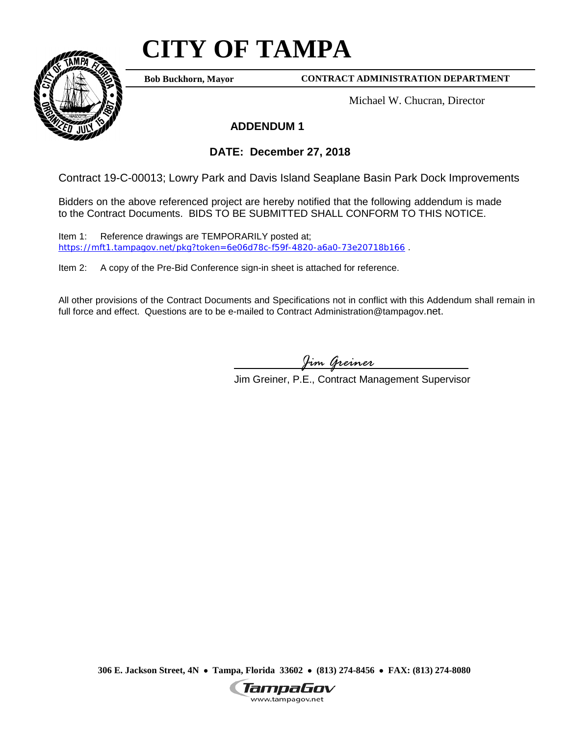## **CITY OF TAMPA**

**Bob Buckhorn, Mayor**

## **CONTRACT ADMINISTRATION DEPARTMENT**

Michael W. Chucran, Director

## **ADDENDUM 1**

## **DATE: December 27, 2018**

Contract 19-C-00013; Lowry Park and Davis Island Seaplane Basin Park Dock Improvements

Bidders on the above referenced project are hereby notified that the following addendum is made to the Contract Documents. BIDS TO BE SUBMITTED SHALL CONFORM TO THIS NOTICE.

Item 1: Reference drawings are TEMPORARILY posted at; <https://mft1.tampagov.net/pkg?token=6e06d78c-f59f-4820-a6a0-73e20718b166> .

Item 2: A copy of the Pre-Bid Conference sign-in sheet is attached for reference.

All other provisions of the Contract Documents and Specifications not in conflict with this Addendum shall remain in full force and effect. Questions are to be e-mailed to Contract Administration@tampagov.net.

*Jim Greiner*

Jim Greiner, P.E., Contract Management Supervisor

**306 E. Jackson Street, 4N** • **Tampa, Florida 33602** • **(813) 274-8456** • **FAX: (813) 274-8080**